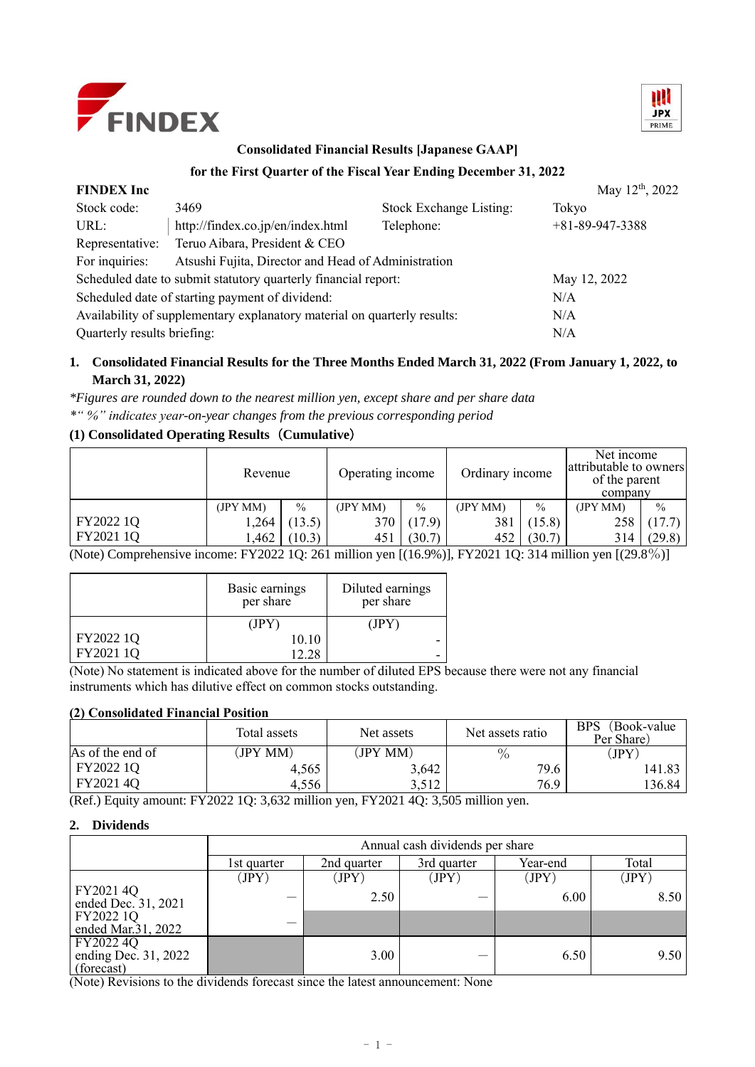



# **Consolidated Financial Results [Japanese GAAP]**

# **for the First Quarter of the Fiscal Year Ending December 31, 2022**

| <b>FINDEX</b> Inc                                                        |                                   |                         | May 12 <sup>th</sup> , 2022 |
|--------------------------------------------------------------------------|-----------------------------------|-------------------------|-----------------------------|
| Stock code:                                                              | 3469                              | Stock Exchange Listing: | Tokyo                       |
| URL:                                                                     | http://findex.co.jp/en/index.html | Telephone:              | $+81 - 89 - 947 - 3388$     |
| Representative:                                                          | Teruo Aibara, President & CEO     |                         |                             |
| For inquiries:                                                           |                                   |                         |                             |
| Scheduled date to submit statutory quarterly financial report:           |                                   | May 12, 2022            |                             |
| Scheduled date of starting payment of dividend:                          | N/A                               |                         |                             |
| Availability of supplementary explanatory material on quarterly results: | N/A                               |                         |                             |
| Quarterly results briefing:                                              | N/A                               |                         |                             |

# **1. Consolidated Financial Results for the Three Months Ended March 31, 2022 (From January 1, 2022, to March 31, 2022)**

*\*Figures are rounded down to the nearest million yen, except share and per share data \*" %" indicates year-on-year changes from the previous corresponding period*

# **(1) Consolidated Operating Results**(**Cumulative**)

|           |         | Revenue       |          | Operating income |         | Ordinary income |          | Net income<br>attributable to owners<br>of the parent<br>company |  |
|-----------|---------|---------------|----------|------------------|---------|-----------------|----------|------------------------------------------------------------------|--|
|           | (JPYMM) | $\frac{0}{0}$ | (JPY MM) | $\frac{0}{0}$    | (IPYMM) | $\frac{0}{0}$   | (JPY MM) | $\frac{0}{0}$                                                    |  |
| FY2022 1Q | 1,264   | (13.5)        | 370      | (17.9)           | 381     | (15.8)          | 258      | (17.7)                                                           |  |
| FY2021 1Q | ,462    | (10.3)        | 451      | (30.7)           | 452     | (30.7)          | 314      | (29.8)                                                           |  |

(Note) Comprehensive income: FY2022 1Q: 261 million yen [(16.9%)], FY2021 1Q: 314 million yen [(29.8%)]

|           | Basic earnings<br>per share | Diluted earnings<br>per share |
|-----------|-----------------------------|-------------------------------|
|           | (IPY)                       | (JPY)                         |
| FY2022 1Q | 10.10                       |                               |
| FY2021 1Q | 1228                        |                               |

(Note) No statement is indicated above for the number of diluted EPS because there were not any financial instruments which has dilutive effect on common stocks outstanding.

### **(2) Consolidated Financial Position**

|                  | Total assets | Net assets | Net assets ratio | <b>BPS</b><br>(Book-value)<br>Per Share) |
|------------------|--------------|------------|------------------|------------------------------------------|
| As of the end of | (JPY MM)     | (JPY MM)   | O/               | JPY                                      |
| FY2022 1Q        | 4,565        | 3,642      | 79.6             | 141.83                                   |
| FY20214O         | 4.556        | 3.512      | 76.9             | 136.84                                   |

(Ref.) Equity amount: FY2022 1Q: 3,632 million yen, FY2021 4Q: 3,505 million yen.

# **2. Dividends**

|                                                 | Annual cash dividends per share |             |             |          |       |  |  |
|-------------------------------------------------|---------------------------------|-------------|-------------|----------|-------|--|--|
|                                                 | 1st quarter                     | 2nd quarter | 3rd quarter | Year-end | Total |  |  |
|                                                 | (JPY)                           | (JPY)       | (JPY)       | (JPY)    | (JPY  |  |  |
| FY2021 4Q<br>ended Dec. 31, 2021                |                                 | 2.50        |             | 6.00     | 8.50  |  |  |
| FY2022 1Q<br>ended Mar. 31, 2022                |                                 |             |             |          |       |  |  |
| FY2022 4Q<br>ending Dec. 31, 2022<br>(forecast) |                                 | 3.00        |             | 6.50     | 9.50  |  |  |

(Note) Revisions to the dividends forecast since the latest announcement: None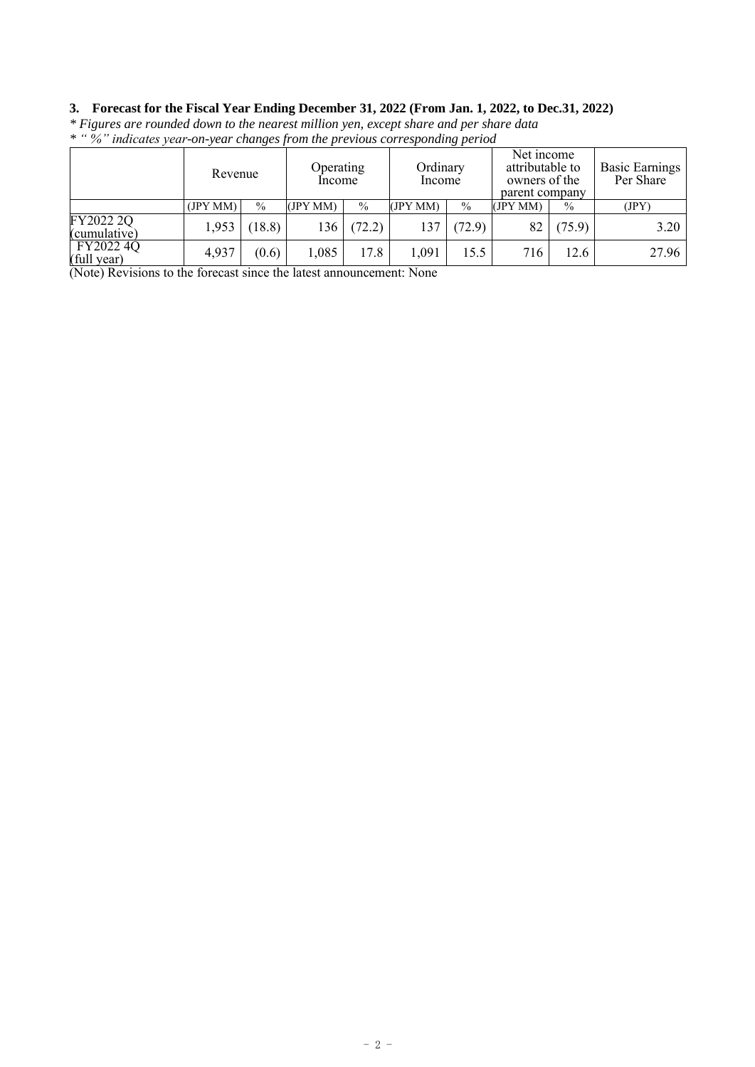# **3. Forecast for the Fiscal Year Ending December 31, 2022 (From Jan. 1, 2022, to Dec.31, 2022)**

|                           |          | Operating<br>Revenue<br>Income |          | Ordinary<br>Income |          | Net income<br>attributable to<br>owners of the<br>parent company |          | <b>Basic Earnings</b><br>Per Share |       |
|---------------------------|----------|--------------------------------|----------|--------------------|----------|------------------------------------------------------------------|----------|------------------------------------|-------|
|                           | (JPY MM) | $\%$                           | (JPY MM) | $\frac{0}{0}$      | (JPY MM) | $\%$                                                             | (JPY MM) | $\%$                               | ΠPΥ   |
| FY2022 2Q<br>(cumulative) | 1,953    | 18.8)                          | 136      | (72.2)             | 137      | (72.9)                                                           | 82       | (75.9)                             | 3.20  |
| FY2022 4Q<br>(full year)  | 4,937    | (0.6)                          | 1,085    | 17.8               | 1,091    | 15.5                                                             | 716      | 12.6                               | 27.96 |

*\* Figures are rounded down to the nearest million yen, except share and per share data \* " %" indicates year-on-year changes from the previous corresponding period*

(Note) Revisions to the forecast since the latest announcement: None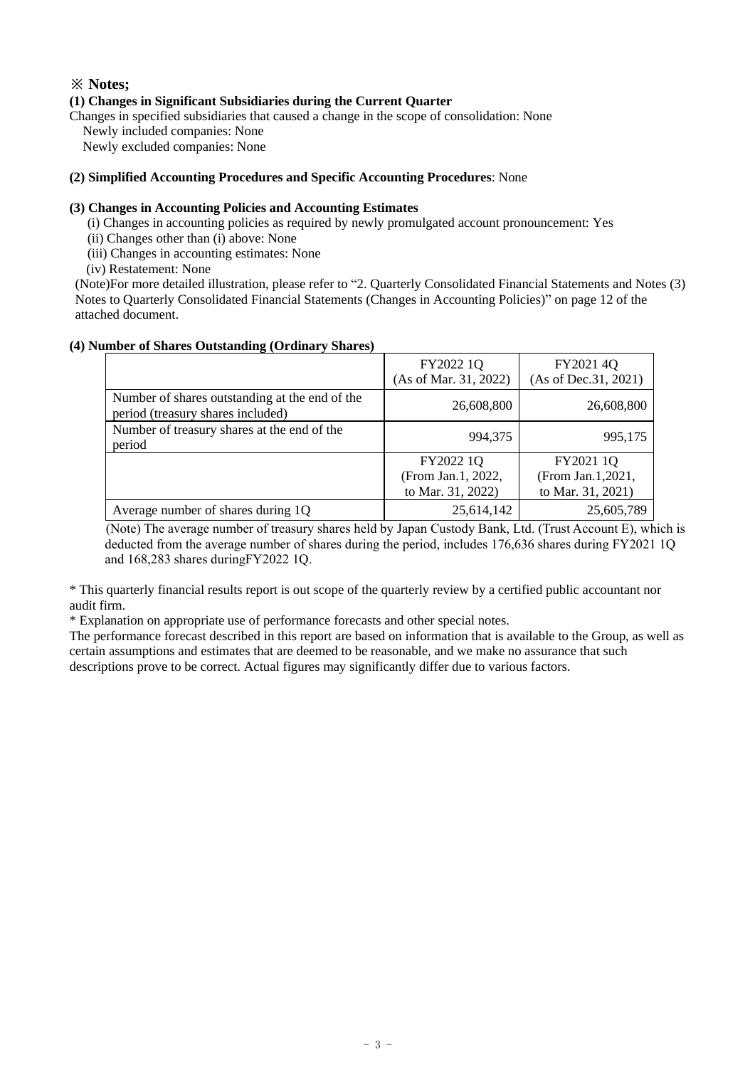# **※ Notes;**

### **(1) Changes in Significant Subsidiaries during the Current Quarter**

Changes in specified subsidiaries that caused a change in the scope of consolidation: None

Newly included companies: None

Newly excluded companies: None

### **(2) Simplified Accounting Procedures and Specific Accounting Procedures**: None

### **(3) Changes in Accounting Policies and Accounting Estimates**

(i) Changes in accounting policies as required by newly promulgated account pronouncement: Yes

(ii) Changes other than (i) above: None

(iii) Changes in accounting estimates: None

(iv) Restatement: None

(Note)For more detailed illustration, please refer to "2. Quarterly Consolidated Financial Statements and Notes (3) Notes to Quarterly Consolidated Financial Statements (Changes in Accounting Policies)" on page 12 of the attached document.

|  | (4) Number of Shares Outstanding (Ordinary Shares) |  |
|--|----------------------------------------------------|--|
|  |                                                    |  |

|                                                                                     | FY2022 1Q<br>(As of Mar. 31, 2022) | FY2021 4Q<br>(As of Dec. 31, 2021) |
|-------------------------------------------------------------------------------------|------------------------------------|------------------------------------|
| Number of shares outstanding at the end of the<br>period (treasury shares included) | 26,608,800                         | 26,608,800                         |
| Number of treasury shares at the end of the<br>period                               | 994,375                            | 995,175                            |
|                                                                                     | FY2022 1Q                          | FY2021 1Q                          |
|                                                                                     | (From Jan.1, 2022,                 | (From Jan.1,2021,                  |
|                                                                                     | to Mar. 31, 2022)                  | to Mar. 31, 2021)                  |
| Average number of shares during 1Q                                                  | 25,614,142                         | 25,605,789                         |

(Note) The average number of treasury shares held by Japan Custody Bank, Ltd. (Trust Account E), which is deducted from the average number of shares during the period, includes 176,636 shares during FY2021 1Q and 168,283 shares duringFY2022 1Q.

\* This quarterly financial results report is out scope of the quarterly review by a certified public accountant nor audit firm.

\* Explanation on appropriate use of performance forecasts and other special notes.

The performance forecast described in this report are based on information that is available to the Group, as well as certain assumptions and estimates that are deemed to be reasonable, and we make no assurance that such descriptions prove to be correct. Actual figures may significantly differ due to various factors.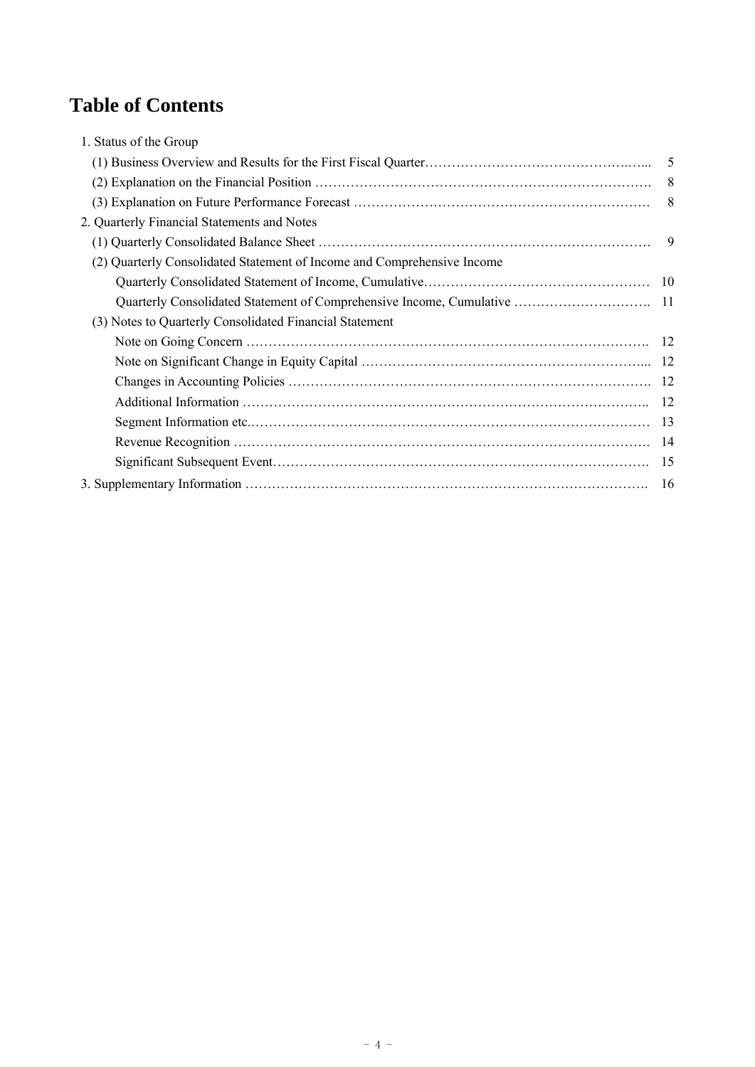# **Table of Contents**

| 1. Status of the Group                                                  |    |
|-------------------------------------------------------------------------|----|
|                                                                         | 5  |
|                                                                         | 8  |
|                                                                         | -8 |
| 2. Quarterly Financial Statements and Notes                             |    |
|                                                                         | 9  |
| (2) Quarterly Consolidated Statement of Income and Comprehensive Income |    |
|                                                                         |    |
|                                                                         |    |
| (3) Notes to Quarterly Consolidated Financial Statement                 |    |
|                                                                         |    |
|                                                                         |    |
|                                                                         |    |
|                                                                         |    |
|                                                                         |    |
|                                                                         |    |
|                                                                         |    |
|                                                                         |    |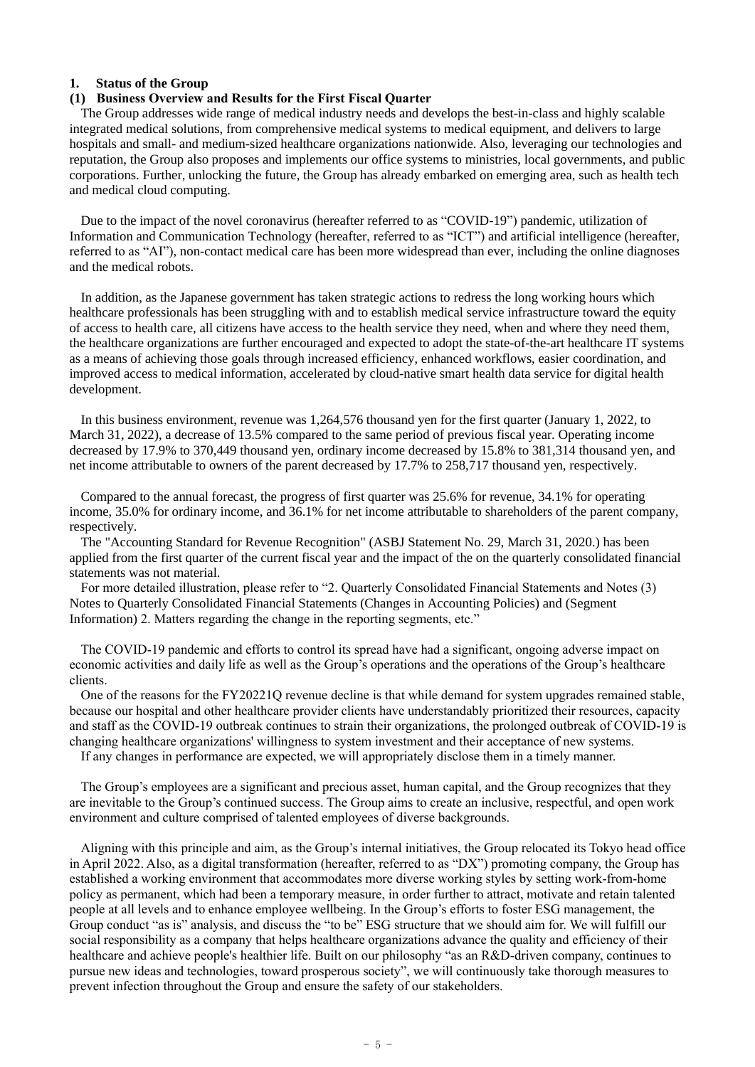### **1. Status of the Group**

### **(1) Business Overview and Results for the First Fiscal Quarter**

The Group addresses wide range of medical industry needs and develops the best-in-class and highly scalable integrated medical solutions, from comprehensive medical systems to medical equipment, and delivers to large hospitals and small- and medium-sized healthcare organizations nationwide. Also, leveraging our technologies and reputation, the Group also proposes and implements our office systems to ministries, local governments, and public corporations. Further, unlocking the future, the Group has already embarked on emerging area, such as health tech and medical cloud computing.

Due to the impact of the novel coronavirus (hereafter referred to as "COVID-19") pandemic, utilization of Information and Communication Technology (hereafter, referred to as "ICT") and artificial intelligence (hereafter, referred to as "AI"), non-contact medical care has been more widespread than ever, including the online diagnoses and the medical robots.

In addition, as the Japanese government has taken strategic actions to redress the long working hours which healthcare professionals has been struggling with and to establish medical service infrastructure toward the equity of access to health care, all citizens have access to the health service they need, when and where they need them, the healthcare organizations are further encouraged and expected to adopt the state-of-the-art healthcare IT systems as a means of achieving those goals through increased efficiency, enhanced workflows, easier coordination, and improved access to medical information, accelerated by cloud-native smart health data service for digital health development.

In this business environment, revenue was 1,264,576 thousand yen for the first quarter (January 1, 2022, to March 31, 2022), a decrease of 13.5% compared to the same period of previous fiscal year. Operating income decreased by 17.9% to 370,449 thousand yen, ordinary income decreased by 15.8% to 381,314 thousand yen, and net income attributable to owners of the parent decreased by 17.7% to 258,717 thousand yen, respectively.

Compared to the annual forecast, the progress of first quarter was 25.6% for revenue, 34.1% for operating income, 35.0% for ordinary income, and 36.1% for net income attributable to shareholders of the parent company, respectively.

The "Accounting Standard for Revenue Recognition" (ASBJ Statement No. 29, March 31, 2020.) has been applied from the first quarter of the current fiscal year and the impact of the on the quarterly consolidated financial statements was not material.

For more detailed illustration, please refer to "2. Quarterly Consolidated Financial Statements and Notes (3) Notes to Quarterly Consolidated Financial Statements (Changes in Accounting Policies) and (Segment Information) 2. Matters regarding the change in the reporting segments, etc."

The COVID-19 pandemic and efforts to control its spread have had a significant, ongoing adverse impact on economic activities and daily life as well as the Group's operations and the operations of the Group's healthcare clients.

One of the reasons for the FY20221Q revenue decline is that while demand for system upgrades remained stable, because our hospital and other healthcare provider clients have understandably prioritized their resources, capacity and staff as the COVID-19 outbreak continues to strain their organizations, the prolonged outbreak of COVID-19 is changing healthcare organizations' willingness to system investment and their acceptance of new systems. If any changes in performance are expected, we will appropriately disclose them in a timely manner.

The Group's employees are a significant and precious asset, human capital, and the Group recognizes that they are inevitable to the Group's continued success. The Group aims to create an inclusive, respectful, and open work environment and culture comprised of talented employees of diverse backgrounds.

Aligning with this principle and aim, as the Group's internal initiatives, the Group relocated its Tokyo head office in April 2022. Also, as a digital transformation (hereafter, referred to as "DX") promoting company, the Group has established a working environment that accommodates more diverse working styles by setting work-from-home policy as permanent, which had been a temporary measure, in order further to attract, motivate and retain talented people at all levels and to enhance employee wellbeing. In the Group's efforts to foster ESG management, the Group conduct "as is" analysis, and discuss the "to be" ESG structure that we should aim for. We will fulfill our social responsibility as a company that helps healthcare organizations advance the quality and efficiency of their healthcare and achieve people's healthier life. Built on our philosophy "as an R&D-driven company, continues to pursue new ideas and technologies, toward prosperous society", we will continuously take thorough measures to prevent infection throughout the Group and ensure the safety of our stakeholders.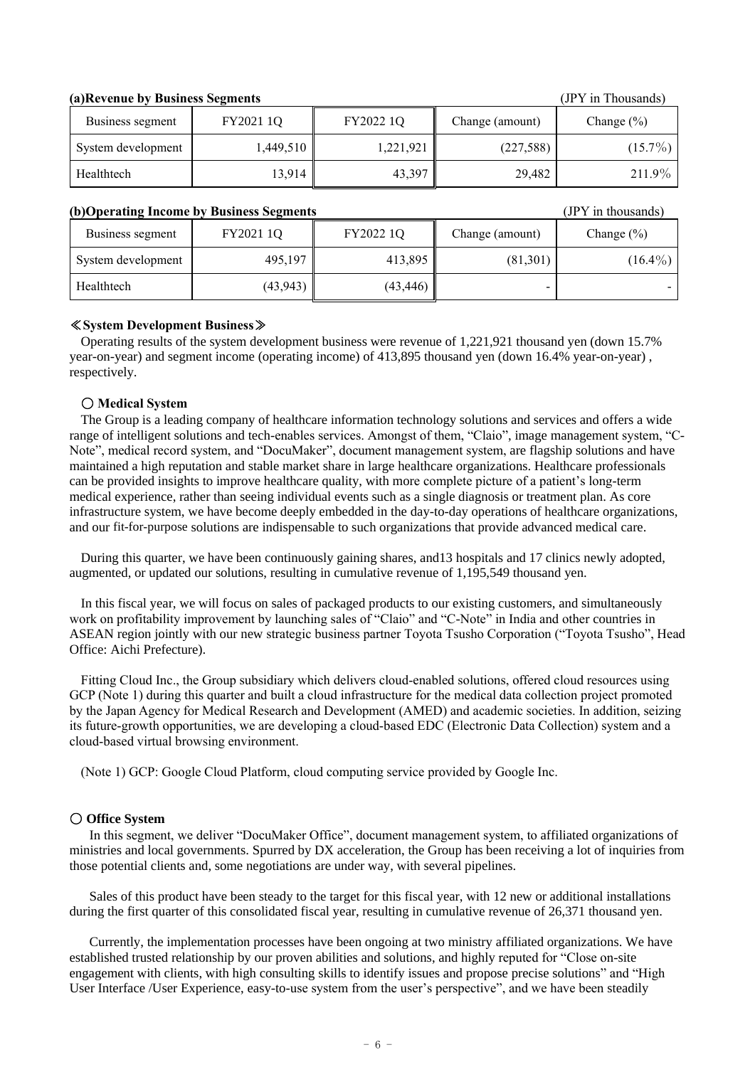### **(a)Revenue by Business Segments** (JPY in Thousands)

| Business segment   | FY2021 1Q | FY2022 1Q | Change (amount) | Change $(\% )$ |
|--------------------|-----------|-----------|-----------------|----------------|
| System development | 1,449,510 | 1,221,921 | (227,588)       | $(15.7\%)$     |
| Healthtech         | 13,914    | 43,397    | 29,482          | 211.9%         |

### **(b)Operating Income by Business Segments** (JPY in thousands)

| Business segment   | FY2021 1Q | FY2022 1Q | Change (amount) | Change $(\% )$ |
|--------------------|-----------|-----------|-----------------|----------------|
| System development | 495,197   | 413,895   | (81,301)        | $(16.4\%)$     |
| Healthtech         | (43, 943) | (43, 446) |                 |                |

### ≪**System Development Business**≫

Operating results of the system development business were revenue of 1,221,921 thousand yen (down 15.7% year-on-year) and segment income (operating income) of 413,895 thousand yen (down 16.4% year-on-year) , respectively.

### 〇 **Medical System**

The Group is a leading company of healthcare information technology solutions and services and offers a wide range of intelligent solutions and tech-enables services. Amongst of them, "Claio", image management system, "C-Note", medical record system, and "DocuMaker", document management system, are flagship solutions and have maintained a high reputation and stable market share in large healthcare organizations. Healthcare professionals can be provided insights to improve healthcare quality, with more complete picture of a patient's long-term medical experience, rather than seeing individual events such as a single diagnosis or treatment plan. As core infrastructure system, we have become deeply embedded in the day-to-day operations of healthcare organizations, and our fit-for-purpose solutions are indispensable to such organizations that provide advanced medical care.

During this quarter, we have been continuously gaining shares, and13 hospitals and 17 clinics newly adopted, augmented, or updated our solutions, resulting in cumulative revenue of 1,195,549 thousand yen.

In this fiscal year, we will focus on sales of packaged products to our existing customers, and simultaneously work on profitability improvement by launching sales of "Claio" and "C-Note" in India and other countries in ASEAN region jointly with our new strategic business partner Toyota Tsusho Corporation ("Toyota Tsusho", Head Office: Aichi Prefecture).

Fitting Cloud Inc., the Group subsidiary which delivers cloud-enabled solutions, offered cloud resources using GCP (Note 1) during this quarter and built a cloud infrastructure for the medical data collection project promoted by the Japan Agency for Medical Research and Development (AMED) and academic societies. In addition, seizing its future-growth opportunities, we are developing a cloud-based EDC (Electronic Data Collection) system and a cloud-based virtual browsing environment.

(Note 1) GCP: Google Cloud Platform, cloud computing service provided by Google Inc.

### 〇 **Office System**

In this segment, we deliver "DocuMaker Office", document management system, to affiliated organizations of ministries and local governments. Spurred by DX acceleration, the Group has been receiving a lot of inquiries from those potential clients and, some negotiations are under way, with several pipelines.

Sales of this product have been steady to the target for this fiscal year, with 12 new or additional installations during the first quarter of this consolidated fiscal year, resulting in cumulative revenue of 26,371 thousand yen.

Currently, the implementation processes have been ongoing at two ministry affiliated organizations. We have established trusted relationship by our proven abilities and solutions, and highly reputed for "Close on-site engagement with clients, with high consulting skills to identify issues and propose precise solutions" and "High User Interface /User Experience, easy-to-use system from the user's perspective", and we have been steadily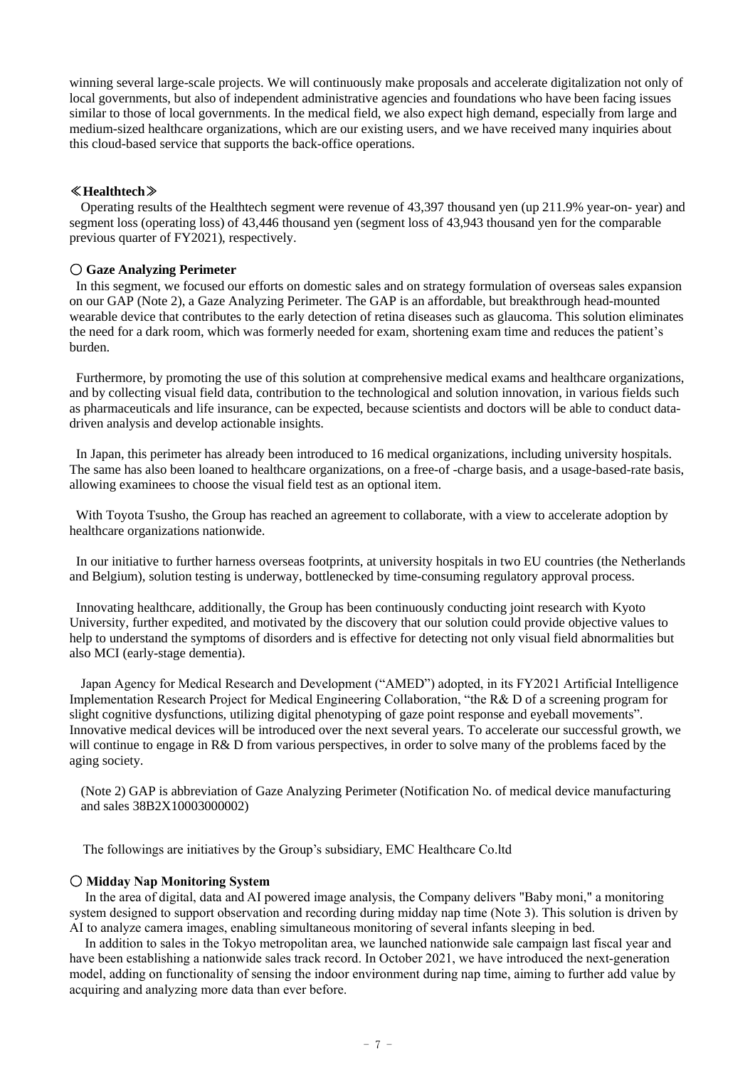winning several large-scale projects. We will continuously make proposals and accelerate digitalization not only of local governments, but also of independent administrative agencies and foundations who have been facing issues similar to those of local governments. In the medical field, we also expect high demand, especially from large and medium-sized healthcare organizations, which are our existing users, and we have received many inquiries about this cloud-based service that supports the back-office operations.

### ≪**Healthtech**≫

Operating results of the Healthtech segment were revenue of 43,397 thousand yen (up 211.9% year-on- year) and segment loss (operating loss) of 43,446 thousand yen (segment loss of 43,943 thousand yen for the comparable previous quarter of FY2021), respectively.

### 〇 **Gaze Analyzing Perimeter**

In this segment, we focused our efforts on domestic sales and on strategy formulation of overseas sales expansion on our GAP (Note 2), a Gaze Analyzing Perimeter. The GAP is an affordable, but breakthrough head-mounted wearable device that contributes to the early detection of retina diseases such as glaucoma. This solution eliminates the need for a dark room, which was formerly needed for exam, shortening exam time and reduces the patient's burden.

Furthermore, by promoting the use of this solution at comprehensive medical exams and healthcare organizations, and by collecting visual field data, contribution to the technological and solution innovation, in various fields such as pharmaceuticals and life insurance, can be expected, because scientists and doctors will be able to conduct datadriven analysis and develop actionable insights.

In Japan, this perimeter has already been introduced to 16 medical organizations, including university hospitals. The same has also been loaned to healthcare organizations, on a free-of -charge basis, and a usage-based-rate basis, allowing examinees to choose the visual field test as an optional item.

With Toyota Tsusho, the Group has reached an agreement to collaborate, with a view to accelerate adoption by healthcare organizations nationwide.

In our initiative to further harness overseas footprints, at university hospitals in two EU countries (the Netherlands and Belgium), solution testing is underway, bottlenecked by time-consuming regulatory approval process.

Innovating healthcare, additionally, the Group has been continuously conducting joint research with Kyoto University, further expedited, and motivated by the discovery that our solution could provide objective values to help to understand the symptoms of disorders and is effective for detecting not only visual field abnormalities but also MCI (early-stage dementia).

Japan Agency for Medical Research and Development ("AMED") adopted, in its FY2021 Artificial Intelligence Implementation Research Project for Medical Engineering Collaboration, "the R& D of a screening program for slight cognitive dysfunctions, utilizing digital phenotyping of gaze point response and eyeball movements". Innovative medical devices will be introduced over the next several years. To accelerate our successful growth, we will continue to engage in R& D from various perspectives, in order to solve many of the problems faced by the aging society.

(Note 2) GAP is abbreviation of Gaze Analyzing Perimeter (Notification No. of medical device manufacturing and sales 38B2X10003000002)

The followings are initiatives by the Group's subsidiary, EMC Healthcare Co.ltd

### 〇 **Midday Nap Monitoring System**

 In the area of digital, data and AI powered image analysis, the Company delivers "Baby moni," a monitoring system designed to support observation and recording during midday nap time (Note 3). This solution is driven by AI to analyze camera images, enabling simultaneous monitoring of several infants sleeping in bed.

In addition to sales in the Tokyo metropolitan area, we launched nationwide sale campaign last fiscal year and have been establishing a nationwide sales track record. In October 2021, we have introduced the next-generation model, adding on functionality of sensing the indoor environment during nap time, aiming to further add value by acquiring and analyzing more data than ever before.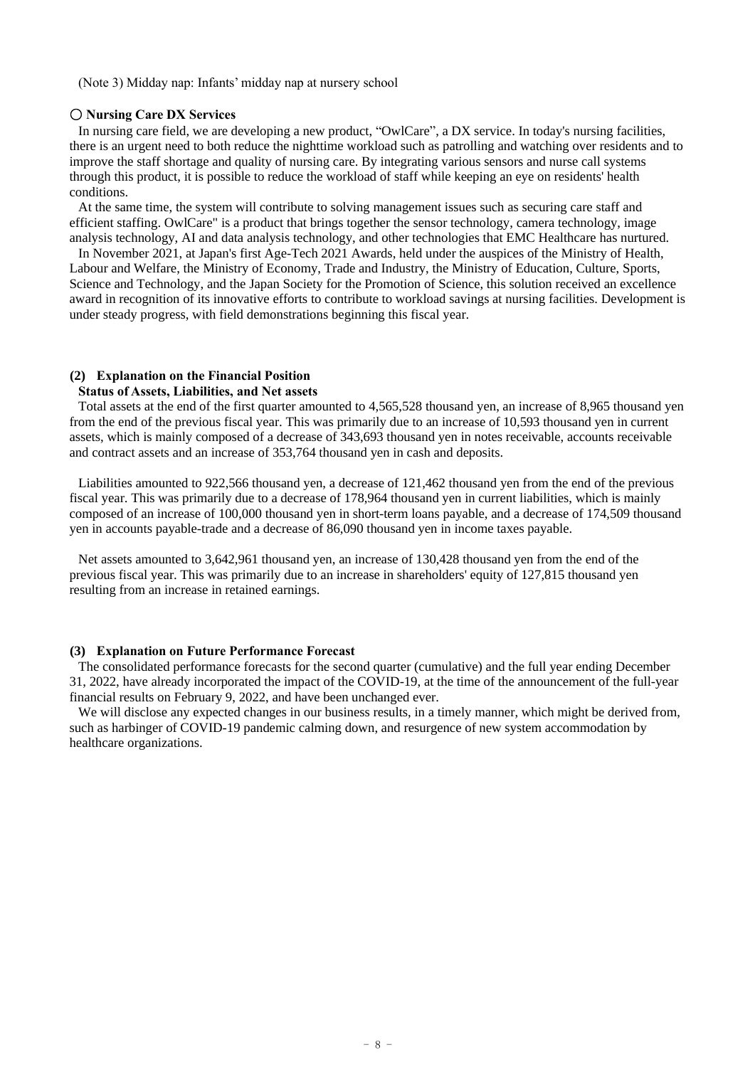(Note 3) Midday nap: Infants' midday nap at nursery school

### 〇 **Nursing Care DX Services**

In nursing care field, we are developing a new product, "OwlCare", a DX service. In today's nursing facilities, there is an urgent need to both reduce the nighttime workload such as patrolling and watching over residents and to improve the staff shortage and quality of nursing care. By integrating various sensors and nurse call systems through this product, it is possible to reduce the workload of staff while keeping an eye on residents' health conditions.

At the same time, the system will contribute to solving management issues such as securing care staff and efficient staffing. OwlCare" is a product that brings together the sensor technology, camera technology, image analysis technology, AI and data analysis technology, and other technologies that EMC Healthcare has nurtured.

In November 2021, at Japan's first Age-Tech 2021 Awards, held under the auspices of the Ministry of Health, Labour and Welfare, the Ministry of Economy, Trade and Industry, the Ministry of Education, Culture, Sports, Science and Technology, and the Japan Society for the Promotion of Science, this solution received an excellence award in recognition of its innovative efforts to contribute to workload savings at nursing facilities. Development is under steady progress, with field demonstrations beginning this fiscal year.

### **(2) Explanation on the Financial Position**

#### **Status of Assets, Liabilities, and Net assets**

Total assets at the end of the first quarter amounted to 4,565,528 thousand yen, an increase of 8,965 thousand yen from the end of the previous fiscal year. This was primarily due to an increase of 10,593 thousand yen in current assets, which is mainly composed of a decrease of 343,693 thousand yen in notes receivable, accounts receivable and contract assets and an increase of 353,764 thousand yen in cash and deposits.

Liabilities amounted to 922,566 thousand yen, a decrease of 121,462 thousand yen from the end of the previous fiscal year. This was primarily due to a decrease of 178,964 thousand yen in current liabilities, which is mainly composed of an increase of 100,000 thousand yen in short-term loans payable, and a decrease of 174,509 thousand yen in accounts payable-trade and a decrease of 86,090 thousand yen in income taxes payable.

Net assets amounted to 3,642,961 thousand yen, an increase of 130,428 thousand yen from the end of the previous fiscal year. This was primarily due to an increase in shareholders' equity of 127,815 thousand yen resulting from an increase in retained earnings.

### **(3) Explanation on Future Performance Forecast**

The consolidated performance forecasts for the second quarter (cumulative) and the full year ending December 31, 2022, have already incorporated the impact of the COVID-19, at the time of the announcement of the full-year financial results on February 9, 2022, and have been unchanged ever.

We will disclose any expected changes in our business results, in a timely manner, which might be derived from, such as harbinger of COVID-19 pandemic calming down, and resurgence of new system accommodation by healthcare organizations.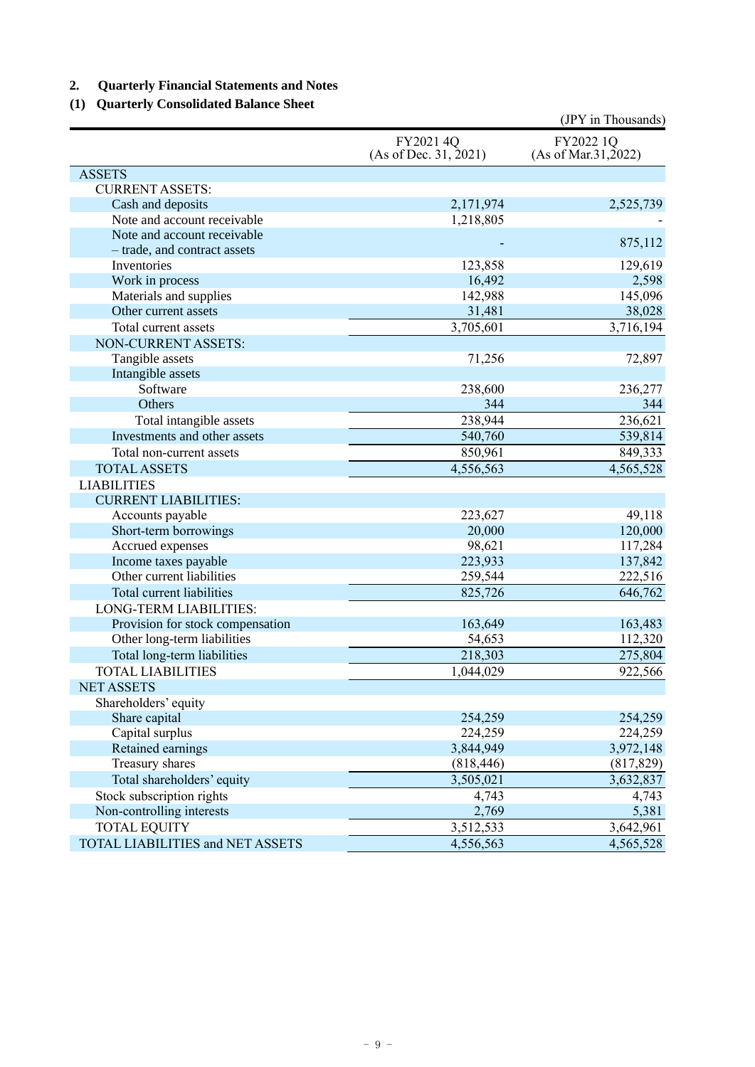# **2. Quarterly Financial Statements and Notes**

# **(1) Quarterly Consolidated Balance Sheet**

|                                                             |                                    | (JPY in Thousands)                 |
|-------------------------------------------------------------|------------------------------------|------------------------------------|
|                                                             | FY2021 4Q<br>(As of Dec. 31, 2021) | FY2022 1Q<br>(As of Mar. 31, 2022) |
| <b>ASSETS</b>                                               |                                    |                                    |
| <b>CURRENT ASSETS:</b>                                      |                                    |                                    |
| Cash and deposits                                           | 2,171,974                          | 2,525,739                          |
| Note and account receivable                                 | 1,218,805                          |                                    |
| Note and account receivable<br>- trade, and contract assets |                                    | 875,112                            |
| Inventories                                                 | 123,858                            | 129,619                            |
| Work in process                                             | 16,492                             | 2,598                              |
| Materials and supplies                                      | 142,988                            | 145,096                            |
| Other current assets                                        | 31,481                             | 38,028                             |
| Total current assets                                        | 3,705,601                          | 3,716,194                          |
| NON-CURRENT ASSETS:                                         |                                    |                                    |
| Tangible assets                                             | 71,256                             | 72,897                             |
| Intangible assets                                           |                                    |                                    |
| Software                                                    | 238,600                            | 236,277                            |
| Others                                                      | 344                                | 344                                |
| Total intangible assets                                     | 238,944                            | 236,621                            |
| Investments and other assets                                | 540,760                            | 539,814                            |
| Total non-current assets                                    | 850,961                            | 849,333                            |
| <b>TOTAL ASSETS</b>                                         | 4,556,563                          | 4,565,528                          |
| <b>LIABILITIES</b>                                          |                                    |                                    |
| <b>CURRENT LIABILITIES:</b>                                 |                                    |                                    |
| Accounts payable                                            | 223,627                            | 49,118                             |
| Short-term borrowings                                       | 20,000                             | 120,000                            |
| Accrued expenses                                            | 98,621                             | 117,284                            |
| Income taxes payable                                        | 223,933                            | 137,842                            |
| Other current liabilities                                   | 259,544                            | 222,516                            |
| Total current liabilities                                   | 825,726                            | 646,762                            |
| LONG-TERM LIABILITIES:                                      |                                    |                                    |
| Provision for stock compensation                            | 163,649                            | 163,483                            |
| Other long-term liabilities                                 | 54,653                             | 112,320                            |
| Total long-term liabilities                                 | 218,303                            | 275,804                            |
| <b>TOTAL LIABILITIES</b>                                    | 1,044,029                          | 922,566                            |
| <b>NET ASSETS</b>                                           |                                    |                                    |
| Shareholders' equity                                        |                                    |                                    |
| Share capital                                               | 254,259                            | 254,259                            |
| Capital surplus                                             | 224,259                            | 224,259                            |
| Retained earnings                                           | 3,844,949                          | 3,972,148                          |
| Treasury shares                                             | (818, 446)                         | (817, 829)                         |
| Total shareholders' equity                                  | 3,505,021                          | 3,632,837                          |
| Stock subscription rights                                   | 4,743                              | 4,743                              |
| Non-controlling interests                                   | 2,769                              | 5,381                              |
| <b>TOTAL EQUITY</b>                                         | 3,512,533                          | 3,642,961                          |
| TOTAL LIABILITIES and NET ASSETS                            | 4,556,563                          | 4,565,528                          |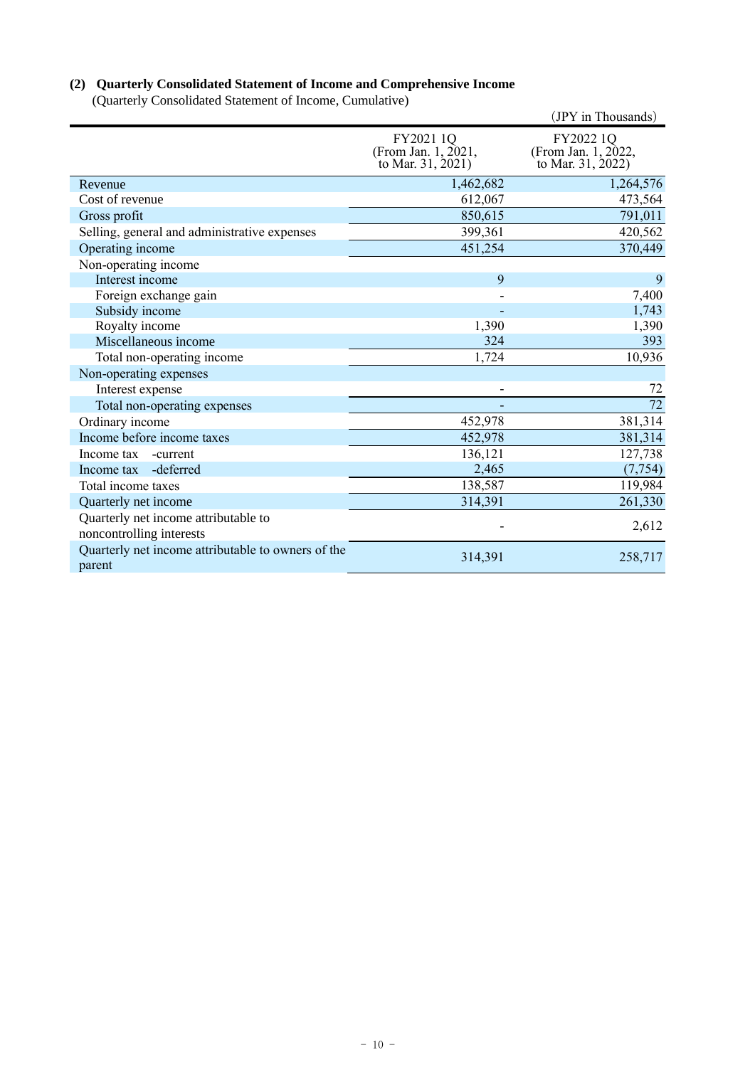# **(2) Quarterly Consolidated Statement of Income and Comprehensive Income**

(Quarterly Consolidated Statement of Income, Cumulative)

|                                                                  |                                                       | (JPY in Thousands)                                    |
|------------------------------------------------------------------|-------------------------------------------------------|-------------------------------------------------------|
|                                                                  | FY2021 1Q<br>(From Jan. 1, 2021,<br>to Mar. 31, 2021) | FY2022 1Q<br>(From Jan. 1, 2022,<br>to Mar. 31, 2022) |
| Revenue                                                          | 1,462,682                                             | 1,264,576                                             |
| Cost of revenue                                                  | 612,067                                               | 473,564                                               |
| Gross profit                                                     | 850,615                                               | 791,011                                               |
| Selling, general and administrative expenses                     | 399,361                                               | 420,562                                               |
| Operating income                                                 | 451,254                                               | 370,449                                               |
| Non-operating income                                             |                                                       |                                                       |
| Interest income                                                  | 9                                                     | 9                                                     |
| Foreign exchange gain                                            |                                                       | 7,400                                                 |
| Subsidy income                                                   |                                                       | 1,743                                                 |
| Royalty income                                                   | 1,390                                                 | 1,390                                                 |
| Miscellaneous income                                             | 324                                                   | 393                                                   |
| Total non-operating income                                       | 1,724                                                 | 10,936                                                |
| Non-operating expenses                                           |                                                       |                                                       |
| Interest expense                                                 |                                                       | 72                                                    |
| Total non-operating expenses                                     |                                                       | 72                                                    |
| Ordinary income                                                  | 452,978                                               | 381,314                                               |
| Income before income taxes                                       | 452,978                                               | 381,314                                               |
| Income tax<br>-current                                           | 136,121                                               | 127,738                                               |
| -deferred<br>Income tax                                          | 2,465                                                 | (7, 754)                                              |
| Total income taxes                                               | 138,587                                               | 119,984                                               |
| Quarterly net income                                             | 314,391                                               | 261,330                                               |
| Quarterly net income attributable to<br>noncontrolling interests |                                                       | 2,612                                                 |
| Quarterly net income attributable to owners of the<br>parent     | 314,391                                               | 258,717                                               |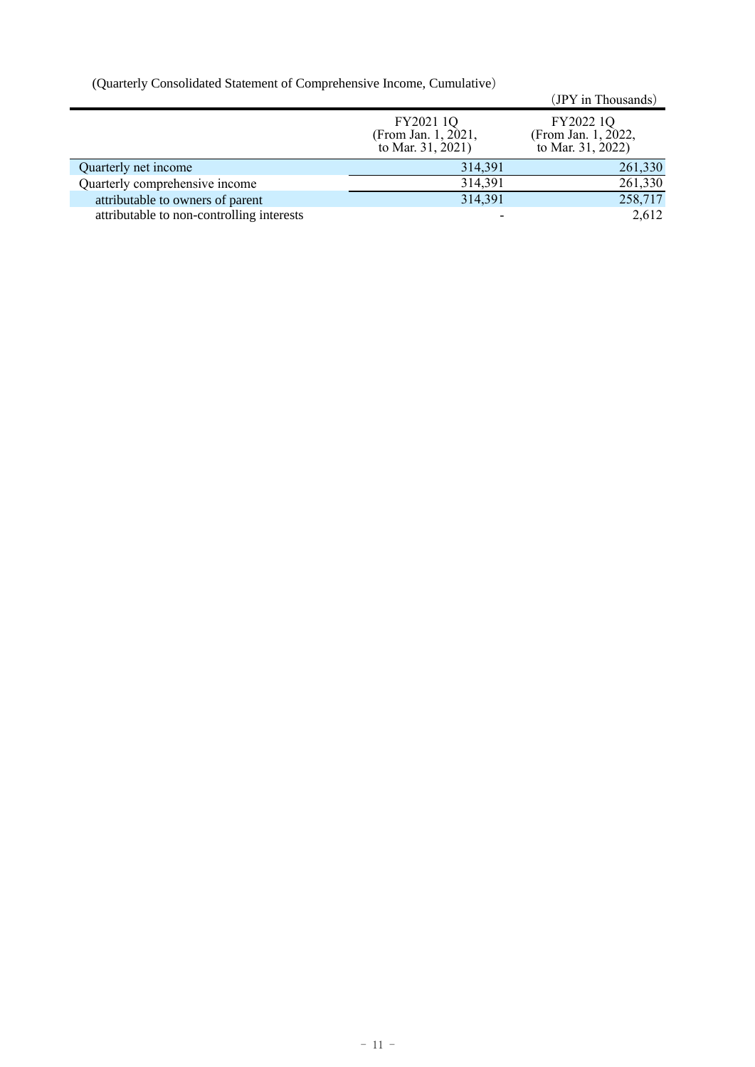(Quarterly Consolidated Statement of Comprehensive Income, Cumulative)

| $\sqrt{2}$ anticity consolidated batterient of complement of meonic, californity $\sigma$ |                                                       |                                                       |
|-------------------------------------------------------------------------------------------|-------------------------------------------------------|-------------------------------------------------------|
|                                                                                           |                                                       | (JPY in Thousands)                                    |
|                                                                                           | FY2021 1Q<br>(From Jan. 1, 2021,<br>to Mar. 31, 2021) | FY2022 1Q<br>(From Jan. 1, 2022,<br>to Mar. 31, 2022) |
| Quarterly net income                                                                      | 314,391                                               | 261,330                                               |
| Quarterly comprehensive income                                                            | 314,391                                               | 261,330                                               |
| attributable to owners of parent                                                          | 314,391                                               | 258,717                                               |
| attributable to non-controlling interests                                                 |                                                       | 2,612                                                 |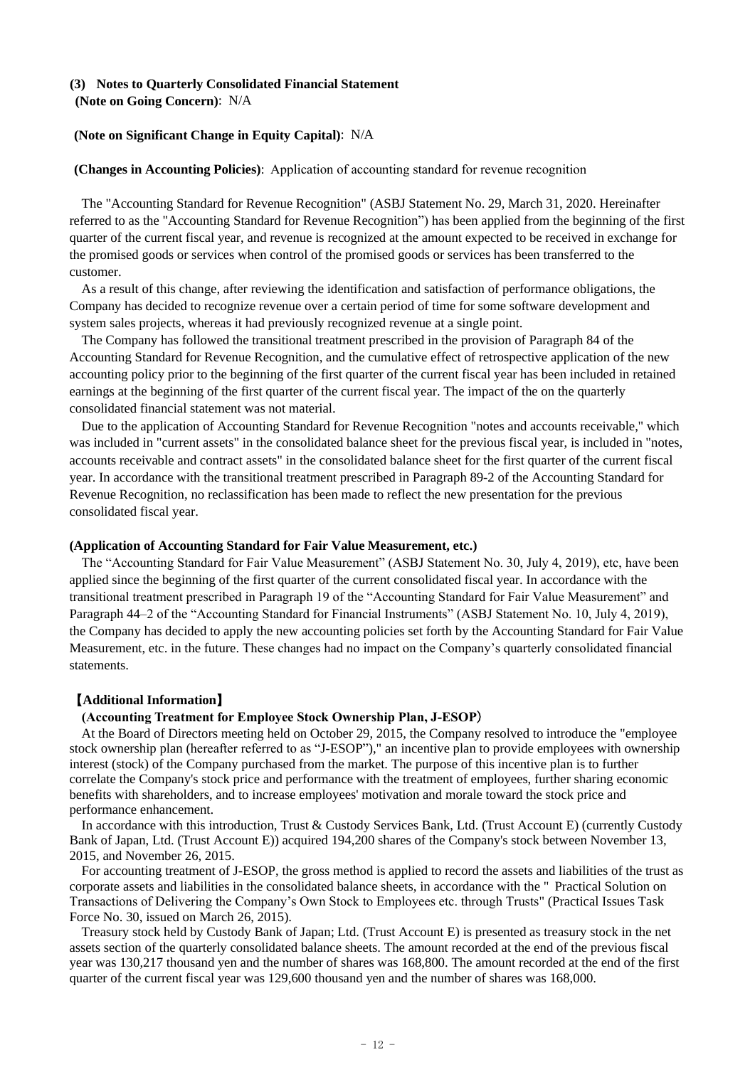### **(3) Notes to Quarterly Consolidated Financial Statement (Note on Going Concern)**: N/A

# **(Note on Significant Change in Equity Capital)**: N/A

# **(Changes in Accounting Policies)**: Application of accounting standard for revenue recognition

The "Accounting Standard for Revenue Recognition" (ASBJ Statement No. 29, March 31, 2020. Hereinafter referred to as the "Accounting Standard for Revenue Recognition") has been applied from the beginning of the first quarter of the current fiscal year, and revenue is recognized at the amount expected to be received in exchange for the promised goods or services when control of the promised goods or services has been transferred to the customer.

As a result of this change, after reviewing the identification and satisfaction of performance obligations, the Company has decided to recognize revenue over a certain period of time for some software development and system sales projects, whereas it had previously recognized revenue at a single point.

The Company has followed the transitional treatment prescribed in the provision of Paragraph 84 of the Accounting Standard for Revenue Recognition, and the cumulative effect of retrospective application of the new accounting policy prior to the beginning of the first quarter of the current fiscal year has been included in retained earnings at the beginning of the first quarter of the current fiscal year. The impact of the on the quarterly consolidated financial statement was not material.

Due to the application of Accounting Standard for Revenue Recognition "notes and accounts receivable," which was included in "current assets" in the consolidated balance sheet for the previous fiscal year, is included in "notes, accounts receivable and contract assets" in the consolidated balance sheet for the first quarter of the current fiscal year. In accordance with the transitional treatment prescribed in Paragraph 89-2 of the Accounting Standard for Revenue Recognition, no reclassification has been made to reflect the new presentation for the previous consolidated fiscal year.

### **(Application of Accounting Standard for Fair Value Measurement, etc.)**

The "Accounting Standard for Fair Value Measurement" (ASBJ Statement No. 30, July 4, 2019), etc, have been applied since the beginning of the first quarter of the current consolidated fiscal year. In accordance with the transitional treatment prescribed in Paragraph 19 of the "Accounting Standard for Fair Value Measurement" and Paragraph 44–2 of the "Accounting Standard for Financial Instruments" (ASBJ Statement No. 10, July 4, 2019), the Company has decided to apply the new accounting policies set forth by the Accounting Standard for Fair Value Measurement, etc. in the future. These changes had no impact on the Company's quarterly consolidated financial statements.

# 【**Additional Information**】

# **(Accounting Treatment for Employee Stock Ownership Plan, J-ESOP**)

At the Board of Directors meeting held on October 29, 2015, the Company resolved to introduce the "employee stock ownership plan (hereafter referred to as "J-ESOP")," an incentive plan to provide employees with ownership interest (stock) of the Company purchased from the market. The purpose of this incentive plan is to further correlate the Company's stock price and performance with the treatment of employees, further sharing economic benefits with shareholders, and to increase employees' motivation and morale toward the stock price and performance enhancement.

In accordance with this introduction, Trust & Custody Services Bank, Ltd. (Trust Account E) (currently Custody Bank of Japan, Ltd. (Trust Account E)) acquired 194,200 shares of the Company's stock between November 13, 2015, and November 26, 2015.

For accounting treatment of J-ESOP, the gross method is applied to record the assets and liabilities of the trust as corporate assets and liabilities in the consolidated balance sheets, in accordance with the " Practical Solution on Transactions of Delivering the Company's Own Stock to Employees etc. through Trusts" (Practical Issues Task Force No. 30, issued on March 26, 2015).

Treasury stock held by Custody Bank of Japan; Ltd. (Trust Account E) is presented as treasury stock in the net assets section of the quarterly consolidated balance sheets. The amount recorded at the end of the previous fiscal year was 130,217 thousand yen and the number of shares was 168,800. The amount recorded at the end of the first quarter of the current fiscal year was 129,600 thousand yen and the number of shares was 168,000.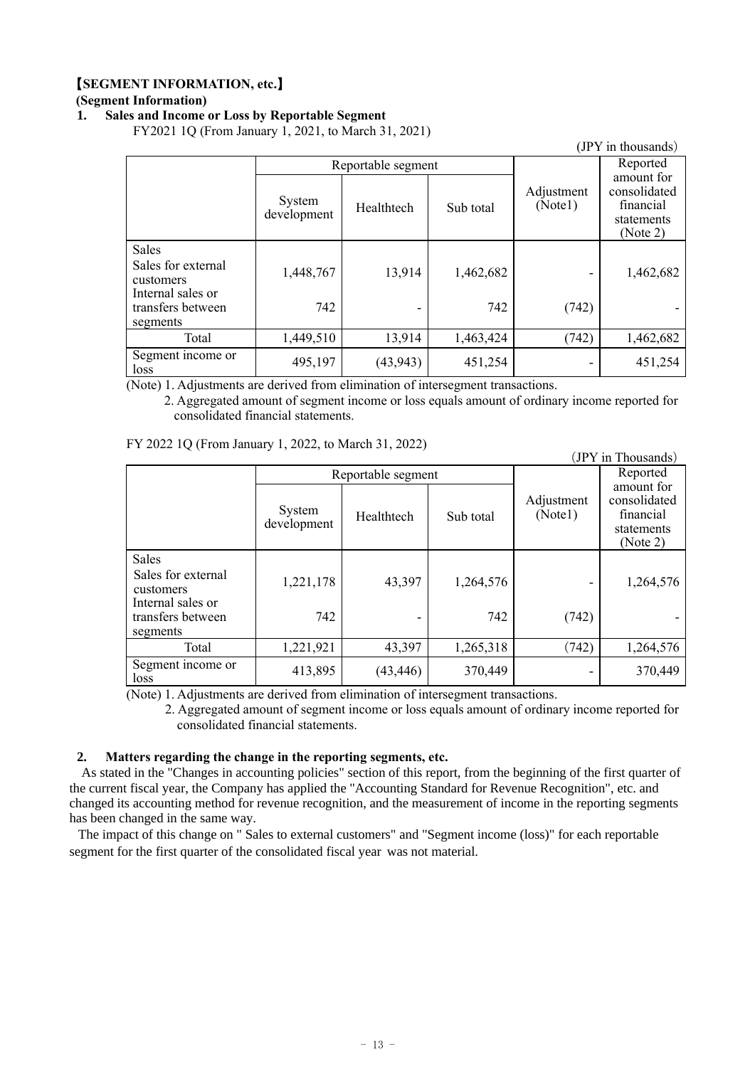# 【**SEGMENT INFORMATION, etc.**】

# **(Segment Information)**

### **1. Sales and Income or Loss by Reportable Segment**

FY2021 1Q (From January 1, 2021, to March 31, 2021)

|                                                                      |                       |                    |           |                       | (JPY in thousands)                                                |
|----------------------------------------------------------------------|-----------------------|--------------------|-----------|-----------------------|-------------------------------------------------------------------|
|                                                                      |                       | Reportable segment |           |                       | Reported                                                          |
|                                                                      | System<br>development | Healthtech         | Sub total | Adjustment<br>(Note1) | amount for<br>consolidated<br>financial<br>statements<br>(Note 2) |
| <b>Sales</b><br>Sales for external<br>customers<br>Internal sales or | 1,448,767             | 13,914             | 1,462,682 |                       | 1,462,682                                                         |
| transfers between<br>segments                                        | 742                   |                    | 742       | (742)                 |                                                                   |
| Total                                                                | 1,449,510             | 13,914             | 1,463,424 | (742)                 | 1,462,682                                                         |
| Segment income or<br>loss                                            | 495,197               | (43, 943)          | 451,254   | ٠                     | 451,254                                                           |

(Note) 1. Adjustments are derived from elimination of intersegment transactions.

2. Aggregated amount of segment income or loss equals amount of ordinary income reported for consolidated financial statements.

FY 2022 1Q (From January 1, 2022, to March 31, 2022)

|                                                               | (JPY in Thousands)    |                    |           |                       |                                                                   |
|---------------------------------------------------------------|-----------------------|--------------------|-----------|-----------------------|-------------------------------------------------------------------|
|                                                               |                       | Reportable segment |           | Reported              |                                                                   |
|                                                               | System<br>development | Healthtech         | Sub total | Adjustment<br>(Note1) | amount for<br>consolidated<br>financial<br>statements<br>(Note 2) |
| Sales<br>Sales for external<br>customers<br>Internal sales or | 1,221,178             | 43,397             | 1,264,576 | -                     | 1,264,576                                                         |
| transfers between<br>segments                                 | 742                   |                    | 742       | (742)                 |                                                                   |
| Total                                                         | 1,221,921             | 43,397             | 1,265,318 | (742)                 | 1,264,576                                                         |
| Segment income or<br>loss                                     | 413,895               | (43, 446)          | 370,449   | -                     | 370,449                                                           |

(Note) 1. Adjustments are derived from elimination of intersegment transactions.

2. Aggregated amount of segment income or loss equals amount of ordinary income reported for consolidated financial statements.

### **2. Matters regarding the change in the reporting segments, etc.**

As stated in the "Changes in accounting policies" section of this report, from the beginning of the first quarter of the current fiscal year, the Company has applied the "Accounting Standard for Revenue Recognition", etc. and changed its accounting method for revenue recognition, and the measurement of income in the reporting segments has been changed in the same way.

The impact of this change on " Sales to external customers" and "Segment income (loss)" for each reportable segment for the first quarter of the consolidated fiscal year was not material.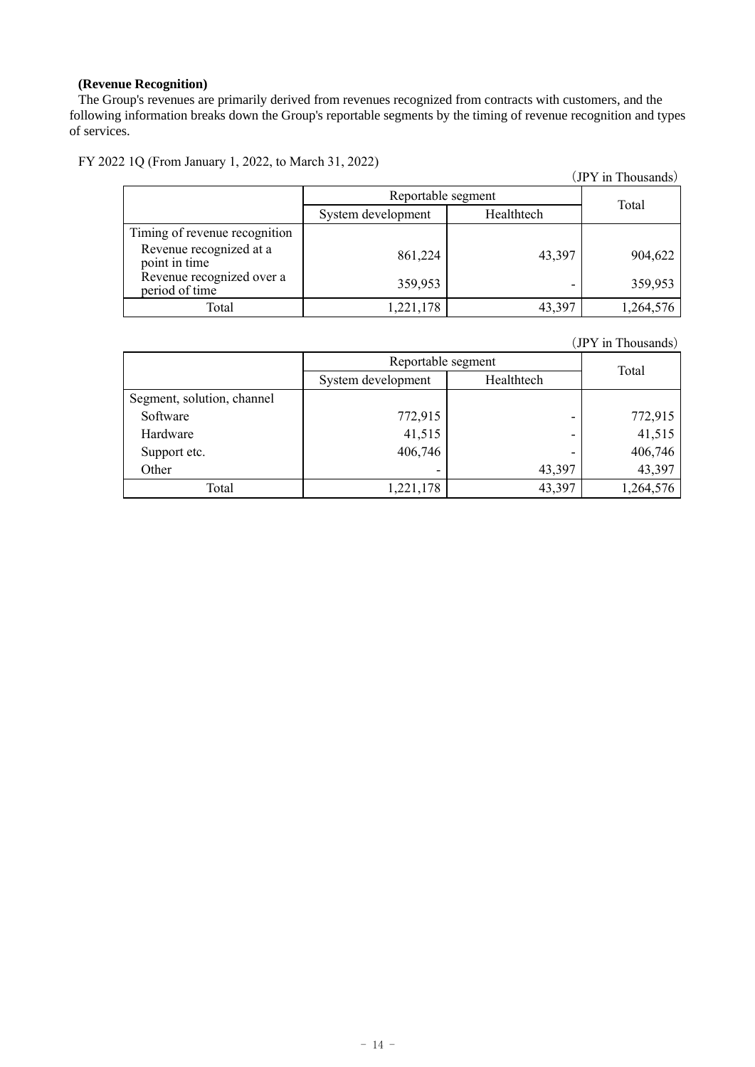### **(Revenue Recognition)**

The Group's revenues are primarily derived from revenues recognized from contracts with customers, and the following information breaks down the Group's reportable segments by the timing of revenue recognition and types of services.

FY 2022 1Q (From January 1, 2022, to March 31, 2022)

Revenue recognized at a

|                               |                    |            | (JPY in Thousands) |
|-------------------------------|--------------------|------------|--------------------|
|                               | Reportable segment |            | Total              |
|                               | System development | Healthtech |                    |
| Timing of revenue recognition |                    |            |                    |
| Revenue recognized at a       | -------            | .          | ------             |

| Revenue recognized at a<br>point in time    | 861,224   | 43,397 | 904.622   |
|---------------------------------------------|-----------|--------|-----------|
| Revenue recognized over a<br>period of time | 359,953   | -      | 359,953   |
| Total                                       | 1,221,178 | 43,397 | 1,264,576 |
|                                             |           |        |           |

(JPY in Thousands)

|                            | Reportable segment | Total      |           |
|----------------------------|--------------------|------------|-----------|
|                            | System development | Healthtech |           |
| Segment, solution, channel |                    |            |           |
| Software                   | 772,915            | -          | 772,915   |
| Hardware                   | 41,515             | -          | 41,515    |
| Support etc.               | 406,746            | ٠          | 406,746   |
| Other                      | -                  | 43,397     | 43,397    |
| Total                      | 1,221,178          | 43,397     | 1,264,576 |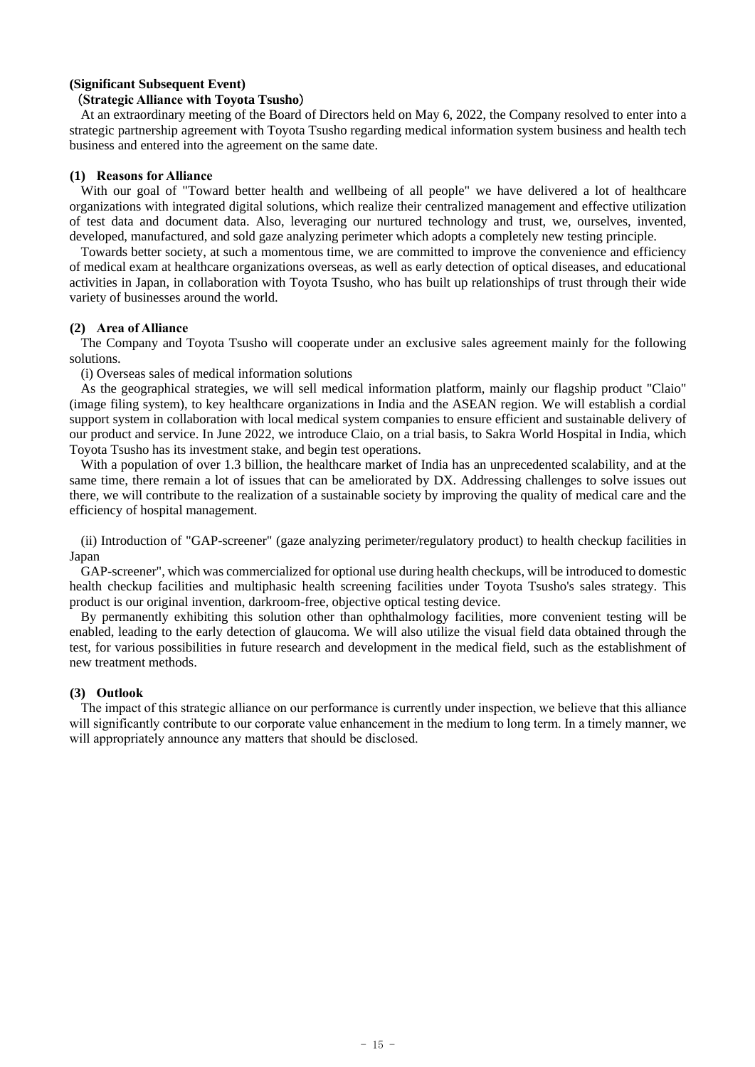### **(Significant Subsequent Event)**

#### (**Strategic Alliance with Toyota Tsusho**)

At an extraordinary meeting of the Board of Directors held on May 6, 2022, the Company resolved to enter into a strategic partnership agreement with Toyota Tsusho regarding medical information system business and health tech business and entered into the agreement on the same date.

### **(1) Reasons for Alliance**

With our goal of "Toward better health and wellbeing of all people" we have delivered a lot of healthcare organizations with integrated digital solutions, which realize their centralized management and effective utilization of test data and document data. Also, leveraging our nurtured technology and trust, we, ourselves, invented, developed, manufactured, and sold gaze analyzing perimeter which adopts a completely new testing principle.

Towards better society, at such a momentous time, we are committed to improve the convenience and efficiency of medical exam at healthcare organizations overseas, as well as early detection of optical diseases, and educational activities in Japan, in collaboration with Toyota Tsusho, who has built up relationships of trust through their wide variety of businesses around the world.

### **(2) Area of Alliance**

The Company and Toyota Tsusho will cooperate under an exclusive sales agreement mainly for the following solutions.

(i) Overseas sales of medical information solutions

As the geographical strategies, we will sell medical information platform, mainly our flagship product "Claio" (image filing system), to key healthcare organizations in India and the ASEAN region. We will establish a cordial support system in collaboration with local medical system companies to ensure efficient and sustainable delivery of our product and service. In June 2022, we introduce Claio, on a trial basis, to Sakra World Hospital in India, which Toyota Tsusho has its investment stake, and begin test operations.

With a population of over 1.3 billion, the healthcare market of India has an unprecedented scalability, and at the same time, there remain a lot of issues that can be ameliorated by DX. Addressing challenges to solve issues out there, we will contribute to the realization of a sustainable society by improving the quality of medical care and the efficiency of hospital management.

(ii) Introduction of "GAP-screener" (gaze analyzing perimeter/regulatory product) to health checkup facilities in Japan

GAP-screener", which was commercialized for optional use during health checkups, will be introduced to domestic health checkup facilities and multiphasic health screening facilities under Toyota Tsusho's sales strategy. This product is our original invention, darkroom-free, objective optical testing device.

By permanently exhibiting this solution other than ophthalmology facilities, more convenient testing will be enabled, leading to the early detection of glaucoma. We will also utilize the visual field data obtained through the test, for various possibilities in future research and development in the medical field, such as the establishment of new treatment methods.

#### **(3) Outlook**

The impact of this strategic alliance on our performance is currently under inspection, we believe that this alliance will significantly contribute to our corporate value enhancement in the medium to long term. In a timely manner, we will appropriately announce any matters that should be disclosed.